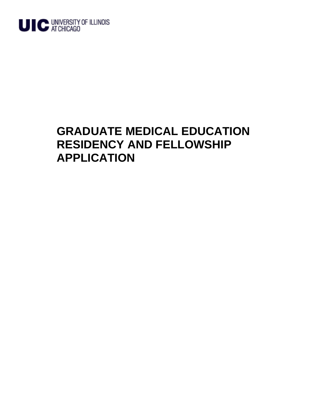

## **GRADUATE MEDICAL EDUCATION RESIDENCY AND FELLOWSHIP APPLICATION**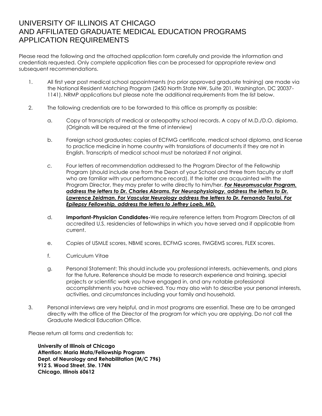## UNIVERSITY OF ILLINOIS AT CHICAGO AND AFFILIATED GRADUATE MEDICAL EDUCATION PROGRAMS APPLICATION REQUIREMENTS

Please read the following and the attached application form carefully and provide the information and credentials requested. Only complete application files can be processed for appropriate review and subsequent recommendations.

- 1. All first year post medical school appointments (no prior approved graduate training) are made via the National Resident Matching Program (2450 North State NW, Suite 201, Washington, DC 20037- 1141). NRMP applications but please note the additional requirements from the list below.
- 2. The following credentials are to be forwarded to this office as promptly as possible:
	- a. Copy of transcripts of medical or osteopathy school records. A copy of M.D./D.O. diploma. (Originals will be required at the time of interview)
	- b. Foreign school graduates: copies of ECFMG certificate, medical school diploma, and license to practice medicine in home country with translations of documents if they are not in English. Transcripts of medical school must be notarized if not original.
	- *c.* Four letters of recommendation addressed to the Program Director of the Fellowship Program (should include one from the Dean of your School and three from faculty or staff who are familiar with your performance record). If the latter are acquainted with the Program Director, they may prefer to write directly to him/her. *For Neuromuscular Program, address the letters to Dr. Charles Abrams. For Neurophysiology, address the letters to Dr. Lawrence Zeidman. For Vascular Neurology address the letters to Dr. Fernando Testai. For Epilepsy Fellowship, address the letters to Jeffrey Loeb, MD.*
	- d. **Important-Physician Candidates-**We require reference letters from Program Directors of all accredited U.S. residencies of fellowships in which you have served and if applicable from current.
	- e. *Copies* of USMLE scores, NBME scores, ECFMG scores, FMGEMS scores, FLEX scores.
	- f. Curriculum Vitae
	- g. Personal Statement: This should include you professional interests, achievements, and plans for the future. Reference should be made to research experience and training, special projects or scientific work you have engaged in, and any notable professional accomplishments you have achieved. You may also wish to describe your personal interests, activities, and circumstances including your family and household.
- 3. Personal interviews are very helpful, and in most programs are essential. These are to be arranged directly with the office of the Director of the program for which you are applying. Do not call the Graduate Medical Education Office.

Please return all forms and credentials to:

**University of Illinois at Chicago Attention: Maria Mata/Fellowship Program Dept. of Neurology and Rehabilitation (M/C 796) 912 S. Wood Street, Ste. 174N Chicago, Illinois 60612**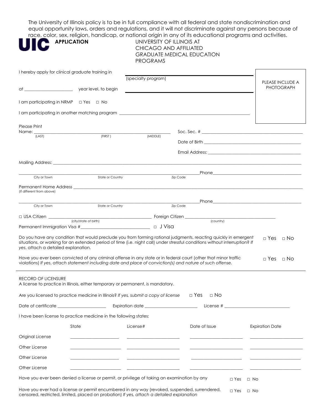The University of Illinois policy is to be in full compliance with all federal and state nondiscrimination and equal opportunity laws, orders and regulations, and it will not discriminate against any persons because of rams and activities.

| <b>APPLICATION</b>                                                                                                                                                                                                                                             | <b>PROGRAMS</b> |                                         |                                                                                                       |                                                                                                                                                                                                                                                                      |
|----------------------------------------------------------------------------------------------------------------------------------------------------------------------------------------------------------------------------------------------------------------|-----------------|-----------------------------------------|-------------------------------------------------------------------------------------------------------|----------------------------------------------------------------------------------------------------------------------------------------------------------------------------------------------------------------------------------------------------------------------|
| I hereby apply for clinical graduate training in                                                                                                                                                                                                               |                 |                                         |                                                                                                       |                                                                                                                                                                                                                                                                      |
|                                                                                                                                                                                                                                                                |                 |                                         |                                                                                                       | PLEASE INCLUDE A<br><b>PHOTOGRAPH</b>                                                                                                                                                                                                                                |
|                                                                                                                                                                                                                                                                |                 |                                         |                                                                                                       |                                                                                                                                                                                                                                                                      |
| I am participating in NRMP $\Box$ Yes $\Box$ No                                                                                                                                                                                                                |                 |                                         |                                                                                                       |                                                                                                                                                                                                                                                                      |
|                                                                                                                                                                                                                                                                |                 |                                         |                                                                                                       |                                                                                                                                                                                                                                                                      |
|                                                                                                                                                                                                                                                                |                 |                                         |                                                                                                       |                                                                                                                                                                                                                                                                      |
| FIRST                                                                                                                                                                                                                                                          |                 |                                         |                                                                                                       |                                                                                                                                                                                                                                                                      |
|                                                                                                                                                                                                                                                                |                 |                                         |                                                                                                       |                                                                                                                                                                                                                                                                      |
|                                                                                                                                                                                                                                                                |                 |                                         |                                                                                                       |                                                                                                                                                                                                                                                                      |
|                                                                                                                                                                                                                                                                |                 |                                         |                                                                                                       |                                                                                                                                                                                                                                                                      |
|                                                                                                                                                                                                                                                                |                 |                                         |                                                                                                       |                                                                                                                                                                                                                                                                      |
|                                                                                                                                                                                                                                                                |                 |                                         |                                                                                                       |                                                                                                                                                                                                                                                                      |
|                                                                                                                                                                                                                                                                |                 |                                         |                                                                                                       |                                                                                                                                                                                                                                                                      |
|                                                                                                                                                                                                                                                                |                 |                                         |                                                                                                       |                                                                                                                                                                                                                                                                      |
|                                                                                                                                                                                                                                                                |                 | <b>Zip Code</b>                         |                                                                                                       |                                                                                                                                                                                                                                                                      |
|                                                                                                                                                                                                                                                                |                 |                                         |                                                                                                       |                                                                                                                                                                                                                                                                      |
| (city/state of birth)<br>Permanent Immigration Visa #<br><u> Land State and State and State and State and State and State and State and State and State and State and State and State and State and State and State and State and State and State and Stat</u> |                 | (country)                               |                                                                                                       |                                                                                                                                                                                                                                                                      |
|                                                                                                                                                                                                                                                                |                 | (specialty program)<br>State or Country | $\begin{array}{c}\n(MIDDLE)\n\end{array}$<br>and the State of Country<br>State of Country<br>Tip Code | UNIVERSITY OF ILLINOIS AT<br>CHICAGO AND AFFILIATED<br><b>GRADUATE MEDICAL EDUCATION</b><br>Soc. Sec. # $\_$<br><b>Phone <i>Phone Phone Phone Phone Phone Phone Phone Phone Phone Phone Phone Phone Phone Phone Phone Phone Phone Phone Phone Phone Phone Ph</i></b> |

Have you ever been convicted of any criminal offense in any state or in federal court (other that minor traffic violations) *If yes*, *attach statement including date and place of conviction(s) and nature of such offense.*  □ Yes □ No

## RECORD OF LICENSURE

*yes*, attach a detailed explanation.

| $\Box$ Yes<br>$\Box$ No<br>Are you licensed to practice medicine in Illinois? If yes, submit a copy of license         |       |                                                                                               |               |                        |  |  |  |
|------------------------------------------------------------------------------------------------------------------------|-------|-----------------------------------------------------------------------------------------------|---------------|------------------------|--|--|--|
| Date of certificate _____________________                                                                              |       | Expiration date _________________________                                                     |               |                        |  |  |  |
| I have been license to practice medicine in the following states:                                                      |       |                                                                                               |               |                        |  |  |  |
|                                                                                                                        | State | License#                                                                                      | Date of Issue | <b>Expiration Date</b> |  |  |  |
| Original License                                                                                                       |       |                                                                                               |               |                        |  |  |  |
| Other License                                                                                                          |       |                                                                                               |               |                        |  |  |  |
| Other License                                                                                                          |       |                                                                                               |               |                        |  |  |  |
| Other License                                                                                                          |       |                                                                                               |               |                        |  |  |  |
| Have you ever been denied a license or permit, or privilege of taking an examination by any<br>$\Box$ Yes<br>$\Box$ No |       |                                                                                               |               |                        |  |  |  |
|                                                                                                                        |       | Have you ever had a license or permit encumbered in any way (revoked, suspended, surrendered, |               | $\Box$ Yes $\Box$ No.  |  |  |  |

Have you ever had a license or permit encumbered in any way (revoked, suspended, surrendered, censored, restricted, limited, placed on probation) *If yes, attach a detailed explanation* □ Yes □ No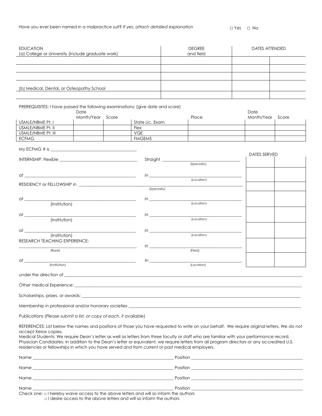| <b>EDUCATION</b><br>(a) College or University (include graduate work) |                                                                                                                       |                                                                                                 | <b>DEGREE</b><br>and field                                                                                                                                                                                                     | <b>DATES ATTENDED</b>                                                                                                                                                                                                                                                                  |  |  |
|-----------------------------------------------------------------------|-----------------------------------------------------------------------------------------------------------------------|-------------------------------------------------------------------------------------------------|--------------------------------------------------------------------------------------------------------------------------------------------------------------------------------------------------------------------------------|----------------------------------------------------------------------------------------------------------------------------------------------------------------------------------------------------------------------------------------------------------------------------------------|--|--|
|                                                                       |                                                                                                                       |                                                                                                 |                                                                                                                                                                                                                                |                                                                                                                                                                                                                                                                                        |  |  |
|                                                                       |                                                                                                                       |                                                                                                 |                                                                                                                                                                                                                                |                                                                                                                                                                                                                                                                                        |  |  |
|                                                                       |                                                                                                                       |                                                                                                 |                                                                                                                                                                                                                                |                                                                                                                                                                                                                                                                                        |  |  |
|                                                                       |                                                                                                                       |                                                                                                 |                                                                                                                                                                                                                                |                                                                                                                                                                                                                                                                                        |  |  |
| (b) Medical, Dental, or Osteopathy School                             |                                                                                                                       |                                                                                                 |                                                                                                                                                                                                                                |                                                                                                                                                                                                                                                                                        |  |  |
|                                                                       |                                                                                                                       |                                                                                                 |                                                                                                                                                                                                                                |                                                                                                                                                                                                                                                                                        |  |  |
|                                                                       |                                                                                                                       | PREREQUISITES: I have passed the following examinations: (give date and score)                  |                                                                                                                                                                                                                                |                                                                                                                                                                                                                                                                                        |  |  |
|                                                                       | Date                                                                                                                  |                                                                                                 |                                                                                                                                                                                                                                | Date                                                                                                                                                                                                                                                                                   |  |  |
| USMLE/NBME Pt. I                                                      | Month/Year Score                                                                                                      | State Lic. Exam                                                                                 | Place                                                                                                                                                                                                                          | Month/Year Score                                                                                                                                                                                                                                                                       |  |  |
| USMLE/NBME Pt. II                                                     |                                                                                                                       | Flex                                                                                            |                                                                                                                                                                                                                                |                                                                                                                                                                                                                                                                                        |  |  |
| USMLE/NBME Pt. III<br><b>ECFMG</b>                                    |                                                                                                                       | <b>VQE</b><br><b>FMGEMS</b>                                                                     |                                                                                                                                                                                                                                |                                                                                                                                                                                                                                                                                        |  |  |
|                                                                       |                                                                                                                       |                                                                                                 |                                                                                                                                                                                                                                |                                                                                                                                                                                                                                                                                        |  |  |
|                                                                       |                                                                                                                       |                                                                                                 |                                                                                                                                                                                                                                | DATES SERVED                                                                                                                                                                                                                                                                           |  |  |
|                                                                       |                                                                                                                       |                                                                                                 | Straight (Specialty)                                                                                                                                                                                                           |                                                                                                                                                                                                                                                                                        |  |  |
|                                                                       |                                                                                                                       |                                                                                                 |                                                                                                                                                                                                                                |                                                                                                                                                                                                                                                                                        |  |  |
|                                                                       |                                                                                                                       | $\mathsf{in}$                                                                                   |                                                                                                                                                                                                                                |                                                                                                                                                                                                                                                                                        |  |  |
| RESIDENCY or FELLOWSHIP in                                            |                                                                                                                       |                                                                                                 | (Location)                                                                                                                                                                                                                     |                                                                                                                                                                                                                                                                                        |  |  |
|                                                                       |                                                                                                                       | (Specialty)                                                                                     |                                                                                                                                                                                                                                |                                                                                                                                                                                                                                                                                        |  |  |
|                                                                       |                                                                                                                       |                                                                                                 |                                                                                                                                                                                                                                |                                                                                                                                                                                                                                                                                        |  |  |
| (Institution)                                                         |                                                                                                                       |                                                                                                 | (Location)                                                                                                                                                                                                                     |                                                                                                                                                                                                                                                                                        |  |  |
|                                                                       |                                                                                                                       |                                                                                                 |                                                                                                                                                                                                                                |                                                                                                                                                                                                                                                                                        |  |  |
| $\overline{\text{(Institution)}}$                                     |                                                                                                                       |                                                                                                 | (Location)                                                                                                                                                                                                                     |                                                                                                                                                                                                                                                                                        |  |  |
|                                                                       |                                                                                                                       | $\mathsf{in}$ . The set of $\mathsf{in}$                                                        |                                                                                                                                                                                                                                |                                                                                                                                                                                                                                                                                        |  |  |
| (Institution)                                                         |                                                                                                                       |                                                                                                 | (Location)                                                                                                                                                                                                                     |                                                                                                                                                                                                                                                                                        |  |  |
| RESEARCH TEACHING EXPERIENCE:                                         |                                                                                                                       |                                                                                                 |                                                                                                                                                                                                                                |                                                                                                                                                                                                                                                                                        |  |  |
| (Rank)                                                                | <u> 1989 - Jan James James James James James James James James James James James James James James James James Ja</u> |                                                                                                 | (Field)                                                                                                                                                                                                                        |                                                                                                                                                                                                                                                                                        |  |  |
|                                                                       |                                                                                                                       |                                                                                                 |                                                                                                                                                                                                                                |                                                                                                                                                                                                                                                                                        |  |  |
| (Institution)                                                         |                                                                                                                       |                                                                                                 | (Location)                                                                                                                                                                                                                     |                                                                                                                                                                                                                                                                                        |  |  |
| under the direction of <u>example and the direction</u>               |                                                                                                                       |                                                                                                 |                                                                                                                                                                                                                                |                                                                                                                                                                                                                                                                                        |  |  |
|                                                                       |                                                                                                                       |                                                                                                 |                                                                                                                                                                                                                                |                                                                                                                                                                                                                                                                                        |  |  |
| Other medical Experience: _                                           |                                                                                                                       |                                                                                                 | <u> 1989 - Johann Stoff, amerikansk politiker (d. 1989)</u>                                                                                                                                                                    |                                                                                                                                                                                                                                                                                        |  |  |
|                                                                       |                                                                                                                       |                                                                                                 | Scholarships, prizes, or awards: example and a series of the state of the state of the state of the state of the state of the state of the state of the state of the state of the state of the state of the state of the state |                                                                                                                                                                                                                                                                                        |  |  |
|                                                                       |                                                                                                                       |                                                                                                 | Membership in professional and/or honorary societies                                                                                                                                                                           |                                                                                                                                                                                                                                                                                        |  |  |
| Publications (Please submit a list, or copy of each, if available)    |                                                                                                                       |                                                                                                 |                                                                                                                                                                                                                                |                                                                                                                                                                                                                                                                                        |  |  |
|                                                                       |                                                                                                                       |                                                                                                 |                                                                                                                                                                                                                                | REFERENCES: List below the names and positions of those you have requested to write on your behalf. We require original letters. We do not                                                                                                                                             |  |  |
| accept Xerox copies.                                                  |                                                                                                                       | residencies or fellowships in which you have served and from current or past medical employers. |                                                                                                                                                                                                                                | Medical Students: We require Dean's letter as well as letters from three faculty or staff who are familiar with your performance record.<br>Physician Candidates: In addition to the Dean's letter or equivalent, we require letters from all program directors or any accredited U.S. |  |  |
|                                                                       |                                                                                                                       |                                                                                                 |                                                                                                                                                                                                                                |                                                                                                                                                                                                                                                                                        |  |  |
|                                                                       |                                                                                                                       |                                                                                                 |                                                                                                                                                                                                                                |                                                                                                                                                                                                                                                                                        |  |  |
|                                                                       |                                                                                                                       |                                                                                                 |                                                                                                                                                                                                                                | Position                                                                                                                                                                                                                                                                               |  |  |
| Name                                                                  |                                                                                                                       |                                                                                                 |                                                                                                                                                                                                                                |                                                                                                                                                                                                                                                                                        |  |  |

Check one: □ I hereby waive access to the above letters and will so inform the authors

□ I desire access to the above letters and will so inform the authors